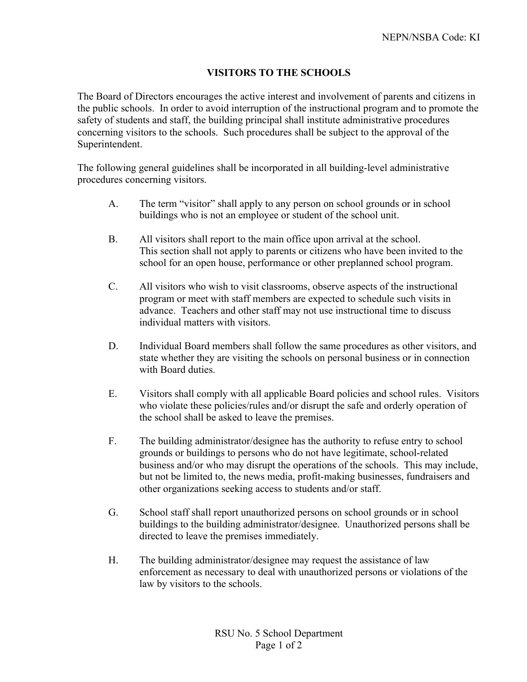## **VISITORS TO THE SCHOOLS**

The Board of Directors encourages the active interest and involvement of parents and citizens in the public schools. In order to avoid interruption of the instructional program and to promote the safety of students and staff, the building principal shall institute administrative procedures concerning visitors to the schools. Such procedures shall be subject to the approval of the Superintendent.

The following general guidelines shall be incorporated in all building-level administrative procedures concerning visitors.

- A. The term "visitor" shall apply to any person on school grounds or in school buildings who is not an employee or student of the school unit.
- B. All visitors shall report to the main office upon arrival at the school. This section shall not apply to parents or citizens who have been invited to the school for an open house, performance or other preplanned school program.
- C. All visitors who wish to visit classrooms, observe aspects of the instructional program or meet with staff members are expected to schedule such visits in advance. Teachers and other staff may not use instructional time to discuss individual matters with visitors.
- D. Individual Board members shall follow the same procedures as other visitors, and state whether they are visiting the schools on personal business or in connection with Board duties.
- E. Visitors shall comply with all applicable Board policies and school rules. Visitors who violate these policies/rules and/or disrupt the safe and orderly operation of the school shall be asked to leave the premises.
- F. The building administrator/designee has the authority to refuse entry to school grounds or buildings to persons who do not have legitimate, school-related business and/or who may disrupt the operations of the schools. This may include, but not be limited to, the news media, profit-making businesses, fundraisers and other organizations seeking access to students and/or staff.
- G. School staff shall report unauthorized persons on school grounds or in school buildings to the building administrator/designee. Unauthorized persons shall be directed to leave the premises immediately.
- H. The building administrator/designee may request the assistance of law enforcement as necessary to deal with unauthorized persons or violations of the law by visitors to the schools.